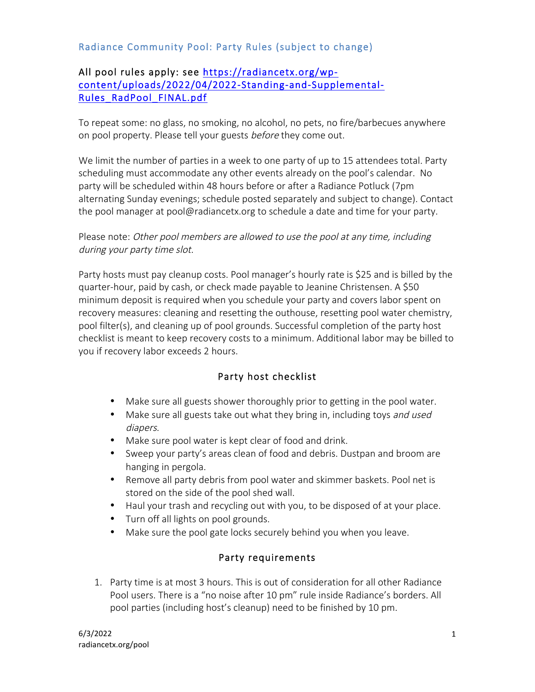### Radiance Community Pool: Party Rules (subject to change)

#### All pool rules apply: see https://radiancetx.org/wpcontent/uploads/2022/04/2022-Standing-and-Supplemental-Rules\_RadPool\_FINAL.pdf

To repeat some: no glass, no smoking, no alcohol, no pets, no fire/barbecues anywhere on pool property. Please tell your guests before they come out.

We limit the number of parties in a week to one party of up to 15 attendees total. Party scheduling must accommodate any other events already on the pool's calendar. No party will be scheduled within 48 hours before or after a Radiance Potluck (7pm alternating Sunday evenings; schedule posted separately and subject to change). Contact the pool manager at pool@radiancetx.org to schedule a date and time for your party.

Please note: Other pool members are allowed to use the pool at any time, including during your party time slot.

Party hosts must pay cleanup costs. Pool manager's hourly rate is \$25 and is billed by the quarter-hour, paid by cash, or check made payable to Jeanine Christensen. A \$50 minimum deposit is required when you schedule your party and covers labor spent on recovery measures: cleaning and resetting the outhouse, resetting pool water chemistry, pool filter(s), and cleaning up of pool grounds. Successful completion of the party host checklist is meant to keep recovery costs to a minimum. Additional labor may be billed to you if recovery labor exceeds 2 hours.

# Party host checklist

- Make sure all guests shower thoroughly prior to getting in the pool water.
- Make sure all guests take out what they bring in, including toys and used diapers.
- Make sure pool water is kept clear of food and drink.
- Sweep your party's areas clean of food and debris. Dustpan and broom are hanging in pergola.
- Remove all party debris from pool water and skimmer baskets. Pool net is stored on the side of the pool shed wall.
- Haul your trash and recycling out with you, to be disposed of at your place.
- Turn off all lights on pool grounds.
- Make sure the pool gate locks securely behind you when you leave.

# Party requirements

1. Party time is at most 3 hours. This is out of consideration for all other Radiance Pool users. There is a "no noise after 10 pm" rule inside Radiance's borders. All pool parties (including host's cleanup) need to be finished by 10 pm.